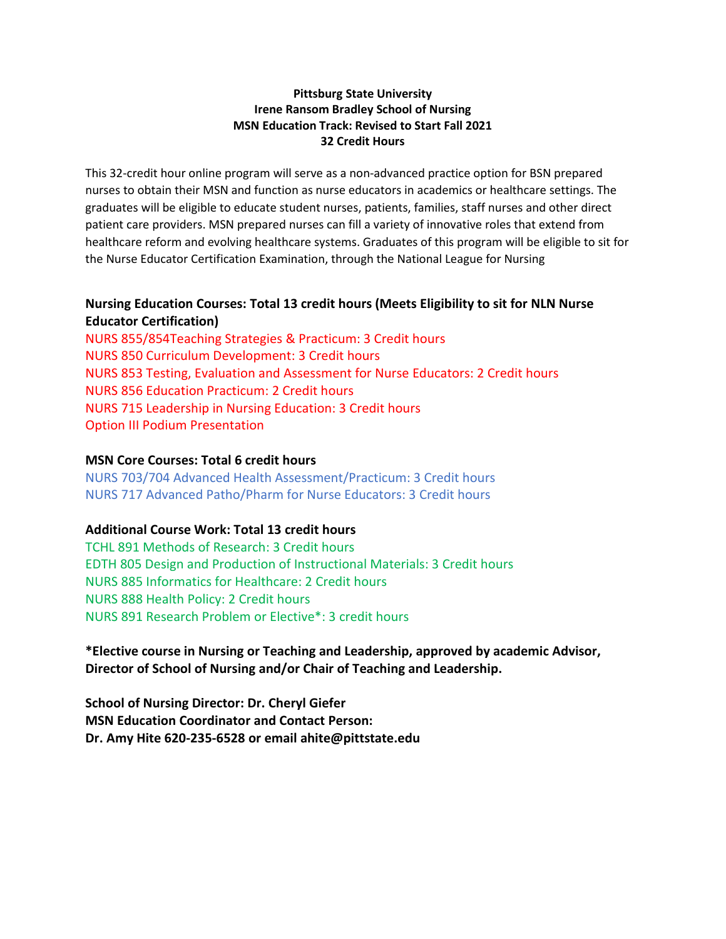## **Pittsburg State University Irene Ransom Bradley School of Nursing MSN Education Track: Revised to Start Fall 2021 32 Credit Hours**

This 32-credit hour online program will serve as a non-advanced practice option for BSN prepared nurses to obtain their MSN and function as nurse educators in academics or healthcare settings. The graduates will be eligible to educate student nurses, patients, families, staff nurses and other direct patient care providers. MSN prepared nurses can fill a variety of innovative roles that extend from healthcare reform and evolving healthcare systems. Graduates of this program will be eligible to sit for the Nurse Educator Certification Examination, through the National League for Nursing

## **Nursing Education Courses: Total 13 credit hours (Meets Eligibility to sit for NLN Nurse Educator Certification)**

NURS 855/854Teaching Strategies & Practicum: 3 Credit hours NURS 850 Curriculum Development: 3 Credit hours NURS 853 Testing, Evaluation and Assessment for Nurse Educators: 2 Credit hours NURS 856 Education Practicum: 2 Credit hours NURS 715 Leadership in Nursing Education: 3 Credit hours Option III Podium Presentation

## **MSN Core Courses: Total 6 credit hours**

NURS 703/704 Advanced Health Assessment/Practicum: 3 Credit hours NURS 717 Advanced Patho/Pharm for Nurse Educators: 3 Credit hours

## **Additional Course Work: Total 13 credit hours**

TCHL 891 Methods of Research: 3 Credit hours EDTH 805 Design and Production of Instructional Materials: 3 Credit hours NURS 885 Informatics for Healthcare: 2 Credit hours NURS 888 Health Policy: 2 Credit hours NURS 891 Research Problem or Elective\*: 3 credit hours

**\*Elective course in Nursing or Teaching and Leadership, approved by academic Advisor, Director of School of Nursing and/or Chair of Teaching and Leadership.** 

**School of Nursing Director: Dr. Cheryl Giefer MSN Education Coordinator and Contact Person: Dr. Amy Hite 620-235-6528 or email ahite@pittstate.edu**